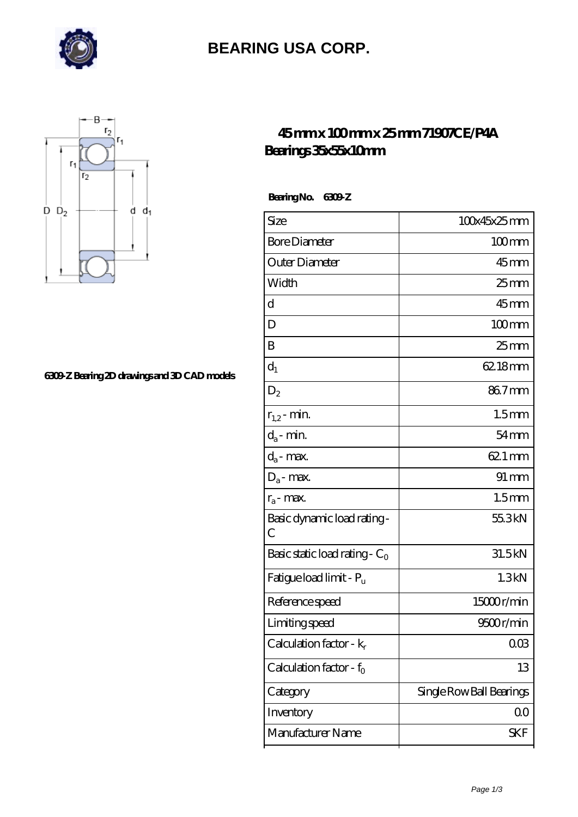

# **[BEARING USA CORP.](https://m.hathaykhongbanghayhat.org)**



#### **[6309-Z Bearing 2D drawings and 3D CAD models](https://m.hathaykhongbanghayhat.org/pic-675214.html)**

### **[45 mm x 100 mm x 25 mm 71907CE/P4A](https://m.hathaykhongbanghayhat.org/au-675214-71907ce-p4a-bearings-35x55x10mm.html) [Bearings 35x55x10mm](https://m.hathaykhongbanghayhat.org/au-675214-71907ce-p4a-bearings-35x55x10mm.html)**

 **Bearing No. 6309-Z**

| Size                                        | 100x45x25mm              |
|---------------------------------------------|--------------------------|
| <b>Bore Diameter</b>                        | $100$ mm                 |
| Outer Diameter                              | $45$ mm                  |
| Width                                       | $25$ <sub>mm</sub>       |
| d                                           | $45$ mm                  |
| D                                           | $100 \text{mm}$          |
| B                                           | $25 \text{mm}$           |
| $d_1$                                       | 62.18mm                  |
| $D_2$                                       | 867mm                    |
| $r_{1,2}$ - min.                            | 1.5 <sub>mm</sub>        |
| $d_a$ - min.                                | $54 \text{mm}$           |
| $d_a$ - max.                                | 62.1 mm                  |
| $D_a$ - max.                                | $91 \, \text{mm}$        |
| $r_a$ - max.                                | 1.5 <sub>mm</sub>        |
| Basic dynamic load rating-<br>$\mathcal{C}$ | 55.3kN                   |
| Basic static load rating - $C_0$            | 31.5kN                   |
| Fatigue load limit - P <sub>u</sub>         | 1.3kN                    |
| Reference speed                             | 15000r/min               |
| Limiting speed                              | 9500r/min                |
| Calculation factor - $k_r$                  | $00\%$                   |
| Calculation factor - $f_0$                  | 13                       |
| Category                                    | Single Row Ball Bearings |
| Inventory                                   | QO                       |
| Manufacturer Name                           | <b>SKF</b>               |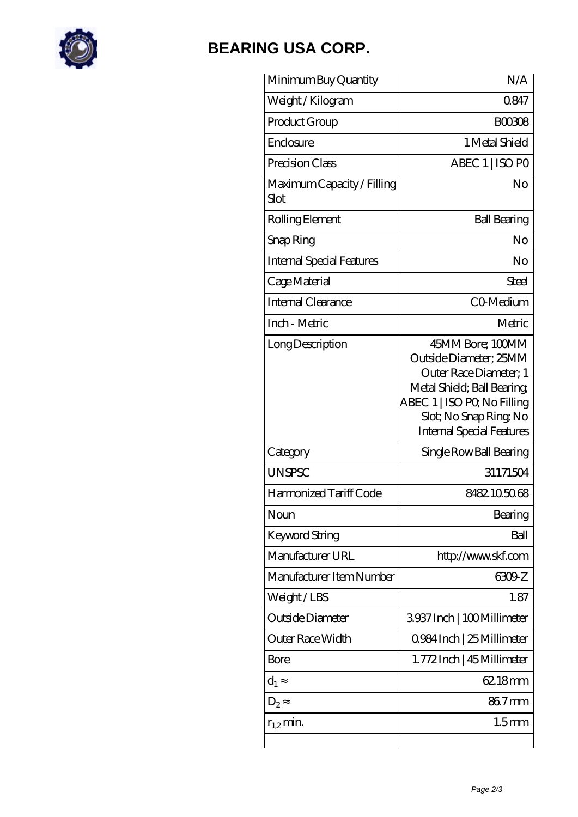

# **[BEARING USA CORP.](https://m.hathaykhongbanghayhat.org)**

| Minimum Buy Quantity               | N/A                                                                                                                                                                                             |
|------------------------------------|-------------------------------------------------------------------------------------------------------------------------------------------------------------------------------------------------|
| Weight / Kilogram                  | 0847                                                                                                                                                                                            |
| Product Group                      | <b>BOO308</b>                                                                                                                                                                                   |
| Enclosure                          | 1 Metal Shield                                                                                                                                                                                  |
| Precision Class                    | ABEC 1   ISO PO                                                                                                                                                                                 |
| Maximum Capacity / Filling<br>Slot | No                                                                                                                                                                                              |
| Rolling Element                    | <b>Ball Bearing</b>                                                                                                                                                                             |
| Snap Ring                          | N <sub>o</sub>                                                                                                                                                                                  |
| <b>Internal Special Features</b>   | No                                                                                                                                                                                              |
| Cage Material                      | Steel                                                                                                                                                                                           |
| Internal Clearance                 | CO-Medium                                                                                                                                                                                       |
| Inch - Metric                      | Metric                                                                                                                                                                                          |
| Long Description                   | 45MM Bore; 100MM<br>Outside Diameter; 25MM<br>Outer Race Diameter; 1<br>Metal Shield; Ball Bearing;<br>ABEC 1   ISO PQ No Filling<br>Slot; No Snap Ring, No<br><b>Internal Special Features</b> |
| Category                           | Single Row Ball Bearing                                                                                                                                                                         |
| <b>UNSPSC</b>                      | 31171504                                                                                                                                                                                        |
| Harmonized Tariff Code             | 8482105068                                                                                                                                                                                      |
| Noun                               | Bearing                                                                                                                                                                                         |
| <b>Keyword String</b>              | Ball                                                                                                                                                                                            |
| Manufacturer URL                   | http://www.skf.com                                                                                                                                                                              |
| Manufacturer Item Number           | 6309 Z                                                                                                                                                                                          |
| Weight/LBS                         | 1.87                                                                                                                                                                                            |
| Outside Diameter                   | 3937 Inch   100 Millimeter                                                                                                                                                                      |
| Outer Race Width                   | 0.984 Inch   25 Millimeter                                                                                                                                                                      |
| Bore                               | 1.772Inch   45 Millimeter                                                                                                                                                                       |
| $d_1$                              | 62.18mm                                                                                                                                                                                         |
| $D_2$                              | 867mm                                                                                                                                                                                           |
| $r_{1,2}$ min.                     | 1.5 <sub>mm</sub>                                                                                                                                                                               |
|                                    |                                                                                                                                                                                                 |